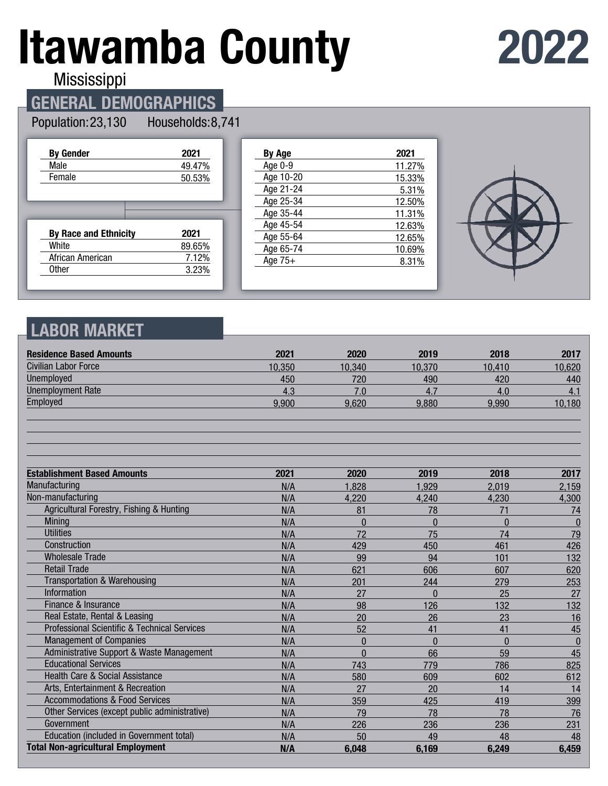# **Itawamba County**

## **2022**

**Mississippi** 

## **GENERAL DEMOGRAPHICS**

#### Population: 23,130 Households: 8,741

| <b>By Gender</b>             | 2021   |
|------------------------------|--------|
| Male                         | 49.47% |
| Female                       | 50.53% |
|                              |        |
|                              |        |
|                              |        |
| <b>By Race and Ethnicity</b> | 2021   |
| White                        | 89.65% |
| African American             | 7.12%  |

| By Age    | 2021   |
|-----------|--------|
| Age 0-9   | 11.27% |
| Age 10-20 | 15.33% |
| Age 21-24 | 5.31%  |
| Age 25-34 | 12.50% |
| Age 35-44 | 11.31% |
| Age 45-54 | 12.63% |
| Age 55-64 | 12.65% |
| Age 65-74 | 10.69% |
| Age $75+$ | 8.31%  |
|           |        |



## **LABOR MARKET**

| <b>Residence Based Amounts</b>                          | 2021   | 2020           | 2019         | 2018           | 2017             |
|---------------------------------------------------------|--------|----------------|--------------|----------------|------------------|
| <b>Civilian Labor Force</b>                             | 10,350 | 10,340         | 10,370       | 10.410         | 10,620           |
| <b>Unemployed</b>                                       | 450    | 720            | 490          | 420            | 440              |
| <b>Unemployment Rate</b>                                | 4.3    | 7.0            | 4.7          | 4.0            | 4.1              |
| Employed                                                | 9,900  | 9,620          | 9,880        | 9,990          | 10,180           |
|                                                         |        |                |              |                |                  |
| <b>Establishment Based Amounts</b>                      | 2021   | 2020           | 2019         | 2018           | 2017             |
| Manufacturing                                           | N/A    | 1,828          | 1,929        | 2,019          | 2,159            |
| Non-manufacturing                                       | N/A    | 4,220          | 4,240        | 4,230          | 4,300            |
| Agricultural Forestry, Fishing & Hunting                | N/A    | 81             | 78           | 71             | 74               |
| Mining                                                  | N/A    | $\Omega$       | $\Omega$     | $\Omega$       | $\boldsymbol{0}$ |
| <b>Utilities</b>                                        | N/A    | 72             | 75           | 74             | 79               |
| Construction                                            | N/A    | 429            | 450          | 461            | 426              |
| <b>Wholesale Trade</b>                                  | N/A    | 99             | 94           | 101            | 132              |
| <b>Retail Trade</b>                                     | N/A    | 621            | 606          | 607            | 620              |
| <b>Transportation &amp; Warehousing</b>                 | N/A    | 201            | 244          | 279            | 253              |
| <b>Information</b>                                      | N/A    | 27             | $\mathbf{0}$ | 25             | 27               |
| Finance & Insurance                                     | N/A    | 98             | 126          | 132            | 132              |
| Real Estate, Rental & Leasing                           | N/A    | 20             | 26           | 23             | 16               |
| <b>Professional Scientific &amp; Technical Services</b> | N/A    | 52             | 41           | 41             | 45               |
| <b>Management of Companies</b>                          | N/A    | $\overline{0}$ | $\Omega$     | $\overline{0}$ | $\bf{0}$         |
| Administrative Support & Waste Management               | N/A    | $\Omega$       | 66           | 59             | 45               |
| <b>Educational Services</b>                             | N/A    | 743            | 779          | 786            | 825              |
| <b>Health Care &amp; Social Assistance</b>              | N/A    | 580            | 609          | 602            | 612              |
| Arts, Entertainment & Recreation                        | N/A    | 27             | 20           | 14             | 14               |
| <b>Accommodations &amp; Food Services</b>               | N/A    | 359            | 425          | 419            | 399              |
| Other Services (except public administrative)           | N/A    | 79             | 78           | 78             | 76               |
| Government                                              | N/A    | 226            | 236          | 236            | 231              |
| Education (included in Government total)                | N/A    | 50             | 49           | 48             | 48               |
| <b>Total Non-agricultural Employment</b>                | N/A    | 6,048          | 6,169        | 6,249          | 6,459            |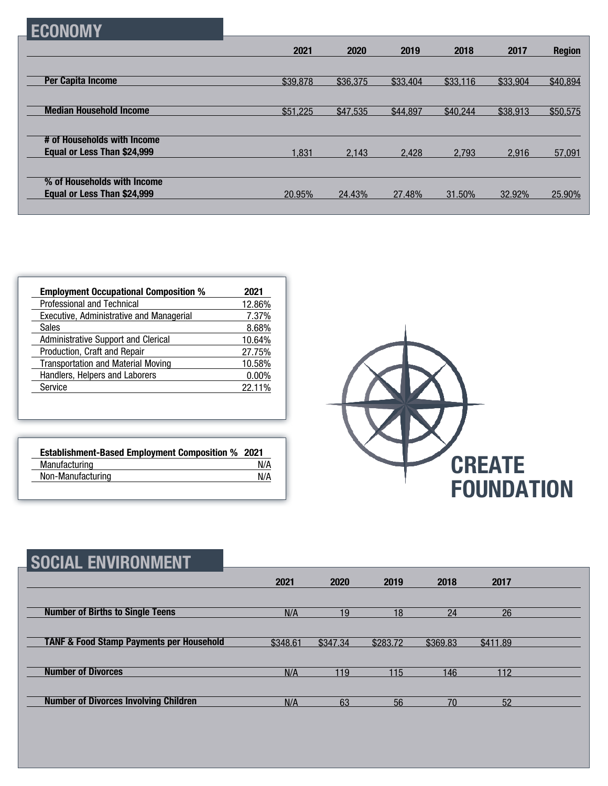| I EGUNUMIY                                                 |          |          |          |          |          |               |
|------------------------------------------------------------|----------|----------|----------|----------|----------|---------------|
|                                                            | 2021     | 2020     | 2019     | 2018     | 2017     | <b>Region</b> |
| <b>Per Capita Income</b>                                   | \$39,878 | \$36,375 | \$33,404 | \$33,116 | \$33,904 | \$40,894      |
|                                                            |          |          |          |          |          |               |
| <b>Median Household Income</b>                             | \$51,225 | \$47,535 | \$44,897 | \$40,244 | \$38,913 | \$50,575      |
| # of Households with Income<br>Equal or Less Than \$24,999 | 1,831    | 2,143    | 2,428    | 2.793    | 2.916    | 57,091        |
| % of Households with Income                                |          |          |          |          |          |               |
| Equal or Less Than \$24,999                                | 20.95%   | 24.43%   | 27.48%   | 31.50%   | 32.92%   | 25.90%        |

| <b>Employment Occupational Composition %</b> | 2021     |
|----------------------------------------------|----------|
| Professional and Technical                   | 12.86%   |
| Executive, Administrative and Managerial     | 7.37%    |
| Sales                                        | 8.68%    |
| Administrative Support and Clerical          | 10.64%   |
| Production, Craft and Repair                 | 27.75%   |
| <b>Transportation and Material Moving</b>    | 10.58%   |
| Handlers, Helpers and Laborers               | $0.00\%$ |
| Service                                      | 22.11%   |

**ECONOMY**

| <b>Establishment-Based Employment Composition % 2021</b> |     |
|----------------------------------------------------------|-----|
| Manufacturing                                            | N/A |
| Non-Manufacturing                                        | N/A |



| SOCIAL ENVIRONMENT                                  |          |          |          |          |          |  |
|-----------------------------------------------------|----------|----------|----------|----------|----------|--|
|                                                     | 2021     | 2020     | 2019     | 2018     | 2017     |  |
| <b>Number of Births to Single Teens</b>             | N/A      | 19       | 18       | 24       | 26       |  |
| <b>TANF &amp; Food Stamp Payments per Household</b> | \$348.61 | \$347.34 | \$283.72 | \$369.83 | \$411.89 |  |
| <b>Number of Divorces</b>                           | N/A      | 119      | 115      | 146      | 112      |  |
| <b>Number of Divorces Involving Children</b>        | N/A      | 63       | 56       | 70       | 52       |  |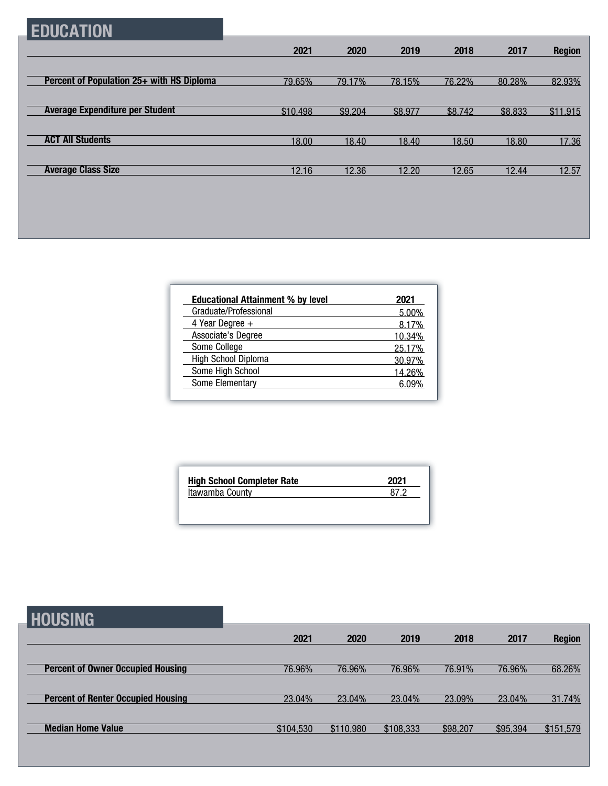## **EDUCATION**

|                                           | 2021     | 2020    | 2019    | 2018    | 2017    | <b>Region</b> |
|-------------------------------------------|----------|---------|---------|---------|---------|---------------|
|                                           |          |         |         |         |         |               |
| Percent of Population 25+ with HS Diploma | 79.65%   | 79.17%  | 78.15%  | 76.22%  | 80.28%  | 82.93%        |
|                                           |          |         |         |         |         |               |
| <b>Average Expenditure per Student</b>    | \$10,498 | \$9,204 | \$8,977 | \$8,742 | \$8,833 | \$11,915      |
|                                           |          |         |         |         |         |               |
| <b>ACT All Students</b>                   | 18.00    | 18.40   | 18.40   | 18.50   | 18.80   | 17.36         |
|                                           |          |         |         |         |         |               |
| <b>Average Class Size</b>                 | 12.16    | 12.36   | 12.20   | 12.65   | 12.44   | 12.57         |

| <b>Educational Attainment % by level</b> | 2021        |
|------------------------------------------|-------------|
| Graduate/Professional                    | 5.00%       |
| 4 Year Degree $+$                        | 8.17%       |
| Associate's Degree                       | 10.34%      |
| Some College                             | 25.17%      |
| High School Diploma                      | 30.97%      |
| Some High School                         | 14.26%      |
| Some Elementary                          | <u> በዓ%</u> |

| <b>High School Completer Rate</b> | 2021 |
|-----------------------------------|------|
| Itawamba County                   | 87 2 |
|                                   |      |
|                                   |      |

| <b>HOUSING</b>                            |           |           |           |          |          |               |
|-------------------------------------------|-----------|-----------|-----------|----------|----------|---------------|
|                                           | 2021      | 2020      | 2019      | 2018     | 2017     | <b>Region</b> |
| <b>Percent of Owner Occupied Housing</b>  | 76.96%    | 76.96%    | 76.96%    | 76.91%   | 76.96%   | 68.26%        |
| <b>Percent of Renter Occupied Housing</b> | 23.04%    | 23.04%    | 23.04%    | 23.09%   | 23.04%   | 31.74%        |
| <b>Median Home Value</b>                  | \$104,530 | \$110,980 | \$108,333 | \$98,207 | \$95,394 | \$151,579     |